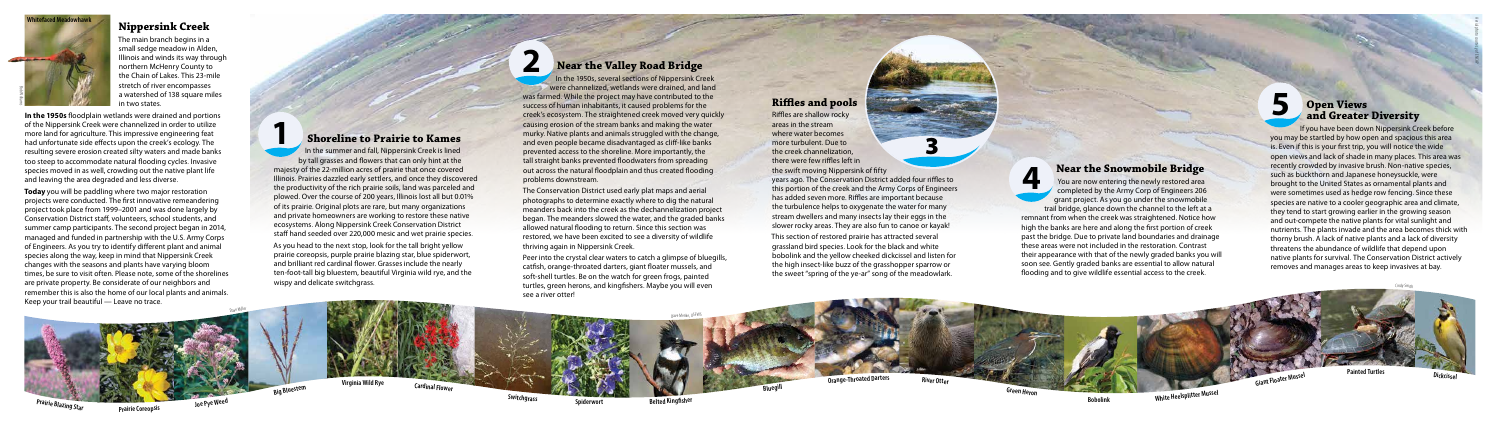#### **Shoreline to Prairie to Kames**

As you head to the next stop, look for the tall bright yellow prairie coreopsis, purple prairie blazing star, blue spiderwort, and brilliant red cardinal flower. Grasses include the nearly ten-foot-tall big bluestem, beautiful Virginia wild rye, and the wispy and delicate switchgrass.

#### **Nippersink Creek**

The main branch begins in a small sedge meadow in Alden, Illinois and winds its way through northern McHenry County to the Chain of Lakes. This 23-mile stretch of river encompasses a watershed of 138 square miles in two states.

**In the 1950s** floodplain wetlands were drained and portions of the Nippersink Creek were channelized in order to utilize more land for agriculture. This impressive engineering feat had unfortunate side effects upon the creek's ecology. The resulting severe erosion created silty waters and made banks too steep to accommodate natural flooding cycles. Invasive species moved in as well, crowding out the native plant life and leaving the area degraded and less diverse.

In the 1950s, several sections of Nippersink Creek were channelized, wetlands were drained, and land was farmed. While the project may have contributed to the success of human inhabitants, it caused problems for the creek's ecosystem. The straightened creek moved very quickly causing erosion of the stream banks and making the water murky. Native plants and animals struggled with the change, and even people became disadvantaged as cliff-like banks prevented access to the shoreline. More importantly, the tall straight banks prevented floodwaters from spreading out across the natural floodplain and thus created flooding problems downstream.

In the summer and fall, Nippersink Creek is lined by tall grasses and flowers that can only hint at the majesty of the 22-million acres of prairie that once covered Illinois. Prairies dazzled early settlers, and once they discovered the productivity of the rich prairie soils, land was parceled and plowed. Over the course of 200 years, Illinois lost all but 0.01% of its prairie. Original plots are rare, but many organizations and private homeowners are working to restore these native ecosystems. Along Nippersink Creek Conservation District staff hand seeded over 220,000 mesic and wet prairie species. **1**

**Today** you will be paddling where two major restoration projects were conducted. The first innovative remeandering project took place from 1999–2001 and was done largely by Conservation District staff, volunteers, school students, and summer camp participants. The second project began in 2014, managed and funded in partnership with the U.S. Army Corps of Engineers. As you try to identify different plant and animal species along the way, keep in mind that Nippersink Creek changes with the seasons and plants have varying bloom times, be sure to visit often. Please note, some of the shorelines are private property. Be considerate of our neighbors and remember this is also the home of our local plants and animals. Keep your trail beautiful — Leave no trace.

#### **Near the Valley Road Bridge**

You are now entering the newly restored area completed by the Army Corp of Engineers 206 grant project. As you go under the snowmobile trail bridge, glance down the channel to the left at a remnant from when the creek was straightened. Notice how high the banks are here and along the first portion of creek past the bridge. Due to private land boundaries and drainage these areas were not included in the restoration. Contrast their appearance with that of the newly graded banks you will soon see. Gently graded banks are essential to allow natural flooding and to give wildlife essential access to the creek. **4**

The Conservation District used early plat maps and aerial photographs to determine exactly where to dig the natural meanders back into the creek as the dechannelization project began. The meanders slowed the water, and the graded banks allowed natural flooding to return. Since this section was restored, we have been excited to see a diversity of wildlife thriving again in Nippersink Creek.

Peer into the crystal clear waters to catch a glimpse of bluegills, catfish, orange-throated darters, giant floater mussels, and soft-shell turtles. Be on the watch for green frogs, painted turtles, green herons, and kingfishers. Maybe you will even see a river otter!

# **2**

**Virginia Wild Rye Cardinal Flower**

**Switchgrass Spiderwort**



**Belted Kingfisher**

#### **Riffles and pools**

Riffles are shallow rocky areas in the stream where water becomes more turbulent. Due to the creek channelization, there were few riffles left in the swift moving Nippersink of fifty

years ago. The Conservation District added four riffles to this portion of the creek and the Army Corps of Engineers has added seven more. Riffles are important because the turbulence helps to oxygenate the water for many stream dwellers and many insects lay their eggs in the slower rocky areas. They are also fun to canoe or kayak!

This section of restored prairie has attracted several grassland bird species. Look for the black and white bobolink and the yellow cheeked dickcissel and listen for the high insect-like buzz of the grasshopper sparrow or the sweet "spring of the ye-ar" song of the meadowlark.

#### **Near the Snowmobile Bridge**



# **5 Open Views and Greater Diversity**

If you have been down Nippersink Creek before you may be startled by how open and spacious this area is. Even if this is your first trip, you will notice the wide open views and lack of shade in many places. This area was recently crowded by invasive brush. Non-native species, such as buckthorn and Japanese honeysuckle, were brought to the United States as ornamental plants and were sometimes used as hedge row fencing. Since these species are native to a cooler geographic area and climate, they tend to start growing earlier in the growing season and out-compete the native plants for vital sunlight and nutrients. The plants invade and the area becomes thick with thorny brush. A lack of native plants and a lack of diversity threatens the abundance of wildlife that depend upon native plants for survival. The Conservation District actively removes and manages areas to keep invasives at bay.

Dave Menke, USFWS

Cindy Smith







3